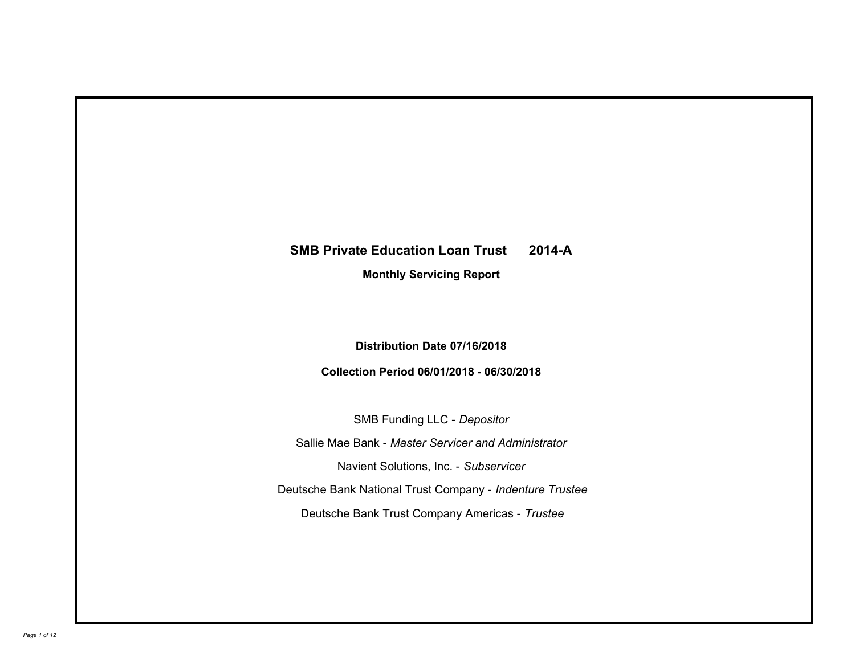# **SMB Private Education Loan Trust 2014-A**

**Monthly Servicing Report**

**Distribution Date 07/16/2018**

**Collection Period 06/01/2018 - 06/30/2018**

SMB Funding LLC - *Depositor* Sallie Mae Bank - *Master Servicer and Administrator* Deutsche Bank National Trust Company - *Indenture Trustee* Deutsche Bank Trust Company Americas - *Trustee* Navient Solutions, Inc. - *Subservicer*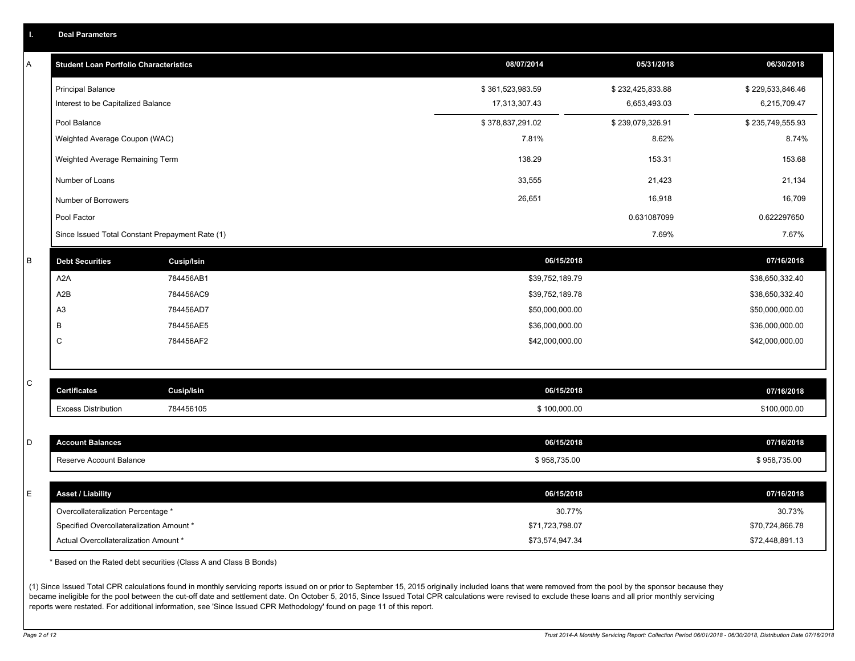| А | <b>Student Loan Portfolio Characteristics</b>                                  |                                                                  | 08/07/2014                | 05/31/2018       | 06/30/2018                |
|---|--------------------------------------------------------------------------------|------------------------------------------------------------------|---------------------------|------------------|---------------------------|
|   | <b>Principal Balance</b>                                                       |                                                                  | \$361,523,983.59          | \$232,425,833.88 | \$229,533,846.46          |
|   | Interest to be Capitalized Balance                                             |                                                                  | 17,313,307.43             | 6,653,493.03     | 6,215,709.47              |
|   | Pool Balance                                                                   |                                                                  | \$378,837,291.02          | \$239,079,326.91 | \$235,749,555.93          |
|   | Weighted Average Coupon (WAC)                                                  |                                                                  | 7.81%                     | 8.62%            | 8.74%                     |
|   | Weighted Average Remaining Term                                                |                                                                  | 138.29                    | 153.31           | 153.68                    |
|   | Number of Loans                                                                |                                                                  | 33,555                    | 21,423           | 21,134                    |
|   | Number of Borrowers                                                            |                                                                  | 26,651                    | 16,918           | 16,709                    |
|   | Pool Factor                                                                    |                                                                  |                           | 0.631087099      | 0.622297650               |
|   | Since Issued Total Constant Prepayment Rate (1)                                |                                                                  |                           | 7.69%            | 7.67%                     |
| B | <b>Debt Securities</b>                                                         | <b>Cusip/Isin</b>                                                | 06/15/2018                |                  | 07/16/2018                |
|   | A2A                                                                            | 784456AB1                                                        | \$39,752,189.79           |                  | \$38,650,332.40           |
|   | A <sub>2</sub> B                                                               | 784456AC9                                                        | \$39,752,189.78           |                  | \$38,650,332.40           |
|   | A <sub>3</sub>                                                                 | 784456AD7                                                        | \$50,000,000.00           |                  | \$50,000,000.00           |
|   | B                                                                              | 784456AE5                                                        | \$36,000,000.00           |                  | \$36,000,000.00           |
|   | C                                                                              | 784456AF2                                                        | \$42,000,000.00           |                  | \$42,000,000.00           |
| С | <b>Certificates</b>                                                            | <b>Cusip/Isin</b>                                                | 06/15/2018                |                  | 07/16/2018                |
|   | <b>Excess Distribution</b>                                                     | 784456105                                                        | \$100,000.00              |                  | \$100,000.00              |
|   |                                                                                |                                                                  |                           |                  |                           |
| D | <b>Account Balances</b>                                                        |                                                                  | 06/15/2018                |                  | 07/16/2018                |
|   | Reserve Account Balance                                                        |                                                                  | \$958,735.00              |                  | \$958,735.00              |
| E | <b>Asset / Liability</b>                                                       |                                                                  | 06/15/2018                |                  | 07/16/2018                |
|   |                                                                                |                                                                  |                           |                  |                           |
|   | Overcollateralization Percentage *<br>Specified Overcollateralization Amount * |                                                                  | 30.77%<br>\$71,723,798.07 |                  | 30.73%<br>\$70,724,866.78 |
|   | Actual Overcollateralization Amount *                                          |                                                                  | \$73,574,947.34           |                  | \$72,448,891.13           |
|   |                                                                                | * Based on the Rated debt securities (Class A and Class B Bonds) |                           |                  |                           |

(1) Since Issued Total CPR calculations found in monthly servicing reports issued on or prior to September 15, 2015 originally included loans that were removed from the pool by the sponsor because they became ineligible for the pool between the cut-off date and settlement date. On October 5, 2015, Since Issued Total CPR calculations were revised to exclude these loans and all prior monthly servicing reports were restated. For additional information, see 'Since Issued CPR Methodology' found on page 11 of this report.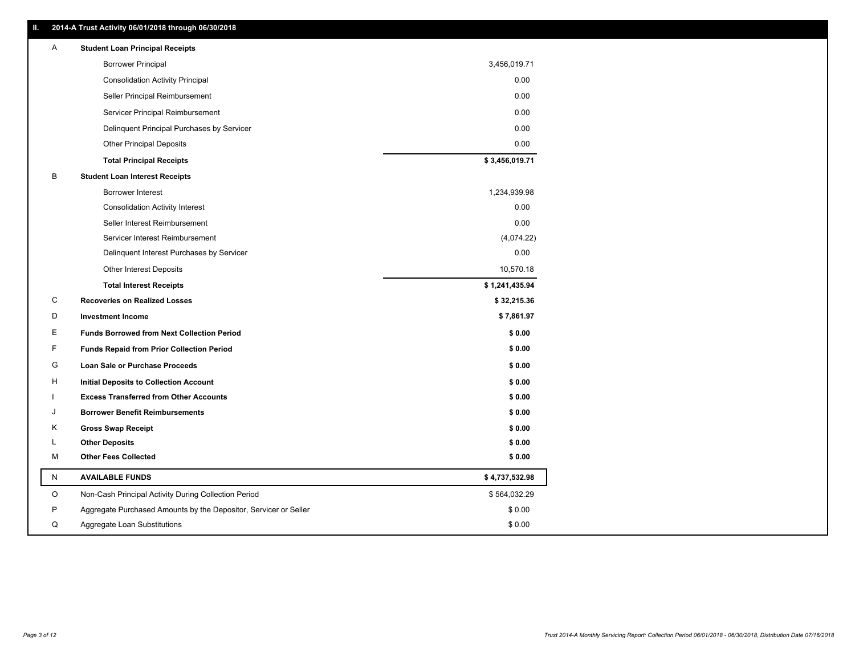|         | 2014-A Trust Activity 06/01/2018 through 06/30/2018              |                |
|---------|------------------------------------------------------------------|----------------|
| Α       | <b>Student Loan Principal Receipts</b>                           |                |
|         | <b>Borrower Principal</b>                                        | 3,456,019.71   |
|         | <b>Consolidation Activity Principal</b>                          | 0.00           |
|         | Seller Principal Reimbursement                                   | 0.00           |
|         | Servicer Principal Reimbursement                                 | 0.00           |
|         | Delinquent Principal Purchases by Servicer                       | 0.00           |
|         | <b>Other Principal Deposits</b>                                  | 0.00           |
|         | <b>Total Principal Receipts</b>                                  | \$3,456,019.71 |
| В       | <b>Student Loan Interest Receipts</b>                            |                |
|         | <b>Borrower Interest</b>                                         | 1,234,939.98   |
|         | <b>Consolidation Activity Interest</b>                           | 0.00           |
|         | Seller Interest Reimbursement                                    | 0.00           |
|         | Servicer Interest Reimbursement                                  | (4,074.22)     |
|         | Delinquent Interest Purchases by Servicer                        | 0.00           |
|         | <b>Other Interest Deposits</b>                                   | 10,570.18      |
|         | <b>Total Interest Receipts</b>                                   | \$1,241,435.94 |
| C       | <b>Recoveries on Realized Losses</b>                             | \$32,215.36    |
| D       | <b>Investment Income</b>                                         | \$7,861.97     |
| Е       | <b>Funds Borrowed from Next Collection Period</b>                | \$0.00         |
| F       | <b>Funds Repaid from Prior Collection Period</b>                 | \$0.00         |
| G       | Loan Sale or Purchase Proceeds                                   | \$0.00         |
| H       | Initial Deposits to Collection Account                           | \$0.00         |
|         | <b>Excess Transferred from Other Accounts</b>                    | \$0.00         |
| J       | <b>Borrower Benefit Reimbursements</b>                           | \$0.00         |
| Κ       | <b>Gross Swap Receipt</b>                                        | \$0.00         |
| L       | <b>Other Deposits</b>                                            | \$0.00         |
|         | <b>Other Fees Collected</b>                                      | \$0.00         |
| М       |                                                                  |                |
| N       | <b>AVAILABLE FUNDS</b>                                           | \$4,737,532.98 |
| $\circ$ | Non-Cash Principal Activity During Collection Period             | \$564,032.29   |
| P       | Aggregate Purchased Amounts by the Depositor, Servicer or Seller | \$0.00         |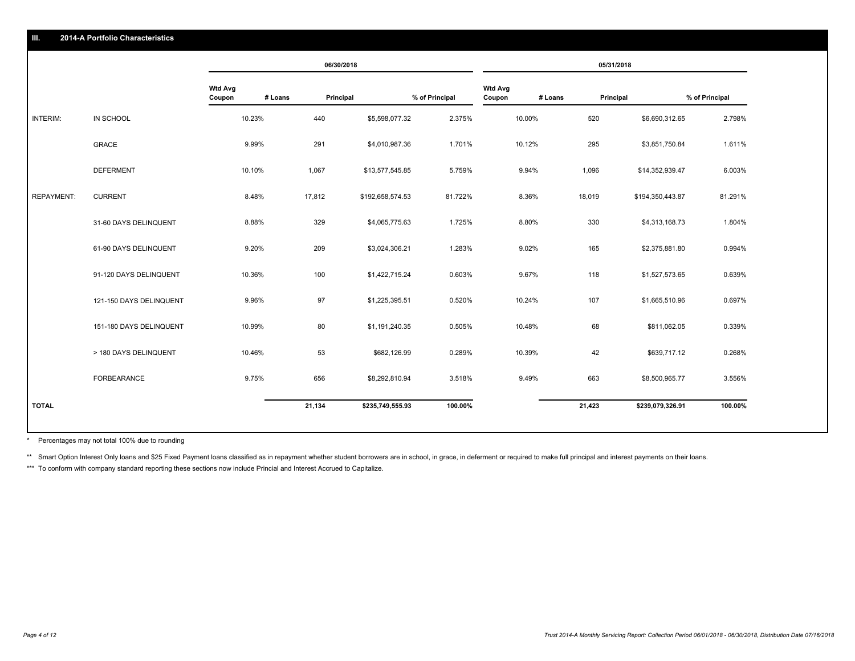|                   |                         |                          |         | 06/30/2018 |                  |                |                          |         | 05/31/2018 |                  |                |
|-------------------|-------------------------|--------------------------|---------|------------|------------------|----------------|--------------------------|---------|------------|------------------|----------------|
|                   |                         | <b>Wtd Avg</b><br>Coupon | # Loans | Principal  |                  | % of Principal | <b>Wtd Avg</b><br>Coupon | # Loans | Principal  |                  | % of Principal |
| INTERIM:          | IN SCHOOL               | 10.23%                   |         | 440        | \$5,598,077.32   | 2.375%         | 10.00%                   |         | 520        | \$6,690,312.65   | 2.798%         |
|                   | GRACE                   | 9.99%                    |         | 291        | \$4,010,987.36   | 1.701%         | 10.12%                   |         | 295        | \$3,851,750.84   | 1.611%         |
|                   | <b>DEFERMENT</b>        | 10.10%                   |         | 1,067      | \$13,577,545.85  | 5.759%         | 9.94%                    |         | 1,096      | \$14,352,939.47  | 6.003%         |
| <b>REPAYMENT:</b> | <b>CURRENT</b>          | 8.48%                    |         | 17,812     | \$192,658,574.53 | 81.722%        | 8.36%                    |         | 18,019     | \$194,350,443.87 | 81.291%        |
|                   | 31-60 DAYS DELINQUENT   | 8.88%                    |         | 329        | \$4,065,775.63   | 1.725%         | 8.80%                    |         | 330        | \$4,313,168.73   | 1.804%         |
|                   | 61-90 DAYS DELINQUENT   | 9.20%                    |         | 209        | \$3,024,306.21   | 1.283%         | 9.02%                    |         | 165        | \$2,375,881.80   | 0.994%         |
|                   | 91-120 DAYS DELINQUENT  | 10.36%                   |         | 100        | \$1,422,715.24   | 0.603%         | 9.67%                    |         | 118        | \$1,527,573.65   | 0.639%         |
|                   | 121-150 DAYS DELINQUENT | 9.96%                    |         | 97         | \$1,225,395.51   | 0.520%         | 10.24%                   |         | 107        | \$1,665,510.96   | 0.697%         |
|                   | 151-180 DAYS DELINQUENT | 10.99%                   |         | 80         | \$1,191,240.35   | 0.505%         | 10.48%                   |         | 68         | \$811,062.05     | 0.339%         |
|                   | > 180 DAYS DELINQUENT   | 10.46%                   |         | 53         | \$682,126.99     | 0.289%         | 10.39%                   |         | 42         | \$639,717.12     | 0.268%         |
|                   | FORBEARANCE             | 9.75%                    |         | 656        | \$8,292,810.94   | 3.518%         | 9.49%                    |         | 663        | \$8,500,965.77   | 3.556%         |
| <b>TOTAL</b>      |                         |                          |         | 21,134     | \$235,749,555.93 | 100.00%        |                          |         | 21,423     | \$239,079,326.91 | 100.00%        |

Percentages may not total 100% due to rounding \*

\*\* Smart Option Interest Only loans and \$25 Fixed Payment loans classified as in repayment whether student borrowers are in school, in grace, in deferment or required to make full principal and interest payments on their l

\*\*\* To conform with company standard reporting these sections now include Princial and Interest Accrued to Capitalize.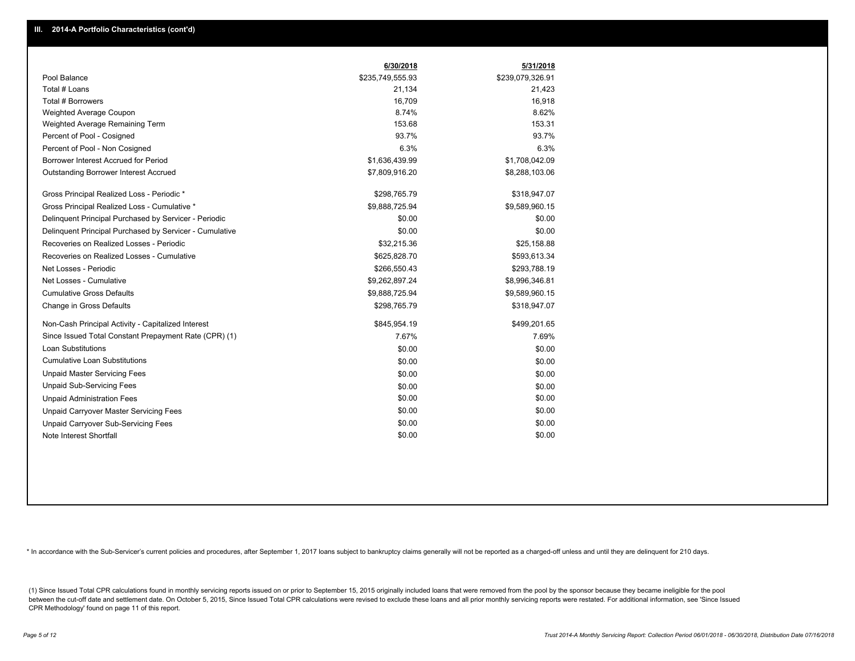|                                                         | 6/30/2018        | 5/31/2018        |
|---------------------------------------------------------|------------------|------------------|
| Pool Balance                                            | \$235,749,555.93 | \$239,079,326.91 |
| Total # Loans                                           | 21,134           | 21,423           |
| Total # Borrowers                                       | 16,709           | 16,918           |
| Weighted Average Coupon                                 | 8.74%            | 8.62%            |
| Weighted Average Remaining Term                         | 153.68           | 153.31           |
| Percent of Pool - Cosigned                              | 93.7%            | 93.7%            |
| Percent of Pool - Non Cosigned                          | 6.3%             | 6.3%             |
| Borrower Interest Accrued for Period                    | \$1,636,439.99   | \$1,708,042.09   |
| <b>Outstanding Borrower Interest Accrued</b>            | \$7,809,916.20   | \$8,288,103.06   |
| Gross Principal Realized Loss - Periodic *              | \$298,765.79     | \$318,947.07     |
| Gross Principal Realized Loss - Cumulative *            | \$9,888,725.94   | \$9,589,960.15   |
| Delinguent Principal Purchased by Servicer - Periodic   | \$0.00           | \$0.00           |
| Delinquent Principal Purchased by Servicer - Cumulative | \$0.00           | \$0.00           |
| Recoveries on Realized Losses - Periodic                | \$32,215.36      | \$25,158.88      |
| Recoveries on Realized Losses - Cumulative              | \$625,828.70     | \$593,613.34     |
| Net Losses - Periodic                                   | \$266,550.43     | \$293,788.19     |
| Net Losses - Cumulative                                 | \$9,262,897.24   | \$8,996,346.81   |
| <b>Cumulative Gross Defaults</b>                        | \$9,888,725.94   | \$9,589,960.15   |
| Change in Gross Defaults                                | \$298,765.79     | \$318,947.07     |
| Non-Cash Principal Activity - Capitalized Interest      | \$845,954.19     | \$499,201.65     |
| Since Issued Total Constant Prepayment Rate (CPR) (1)   | 7.67%            | 7.69%            |
| <b>Loan Substitutions</b>                               | \$0.00           | \$0.00           |
| <b>Cumulative Loan Substitutions</b>                    | \$0.00           | \$0.00           |
| <b>Unpaid Master Servicing Fees</b>                     | \$0.00           | \$0.00           |
| <b>Unpaid Sub-Servicing Fees</b>                        | \$0.00           | \$0.00           |
| <b>Unpaid Administration Fees</b>                       | \$0.00           | \$0.00           |
| <b>Unpaid Carryover Master Servicing Fees</b>           | \$0.00           | \$0.00           |
| Unpaid Carryover Sub-Servicing Fees                     | \$0.00           | \$0.00           |
| Note Interest Shortfall                                 | \$0.00           | \$0.00           |

\* In accordance with the Sub-Servicer's current policies and procedures, after September 1, 2017 loans subject to bankruptcy claims generally will not be reported as a charged-off unless and until they are delinquent for 2

(1) Since Issued Total CPR calculations found in monthly servicing reports issued on or prior to September 15, 2015 originally included loans that were removed from the pool by the sponsor because they became ineligible fo between the cut-off date and settlement date. On October 5, 2015, Since Issued Total CPR calculations were revised to exclude these loans and all prior monthly servicing reports were restated. For additional information, s CPR Methodology' found on page 11 of this report.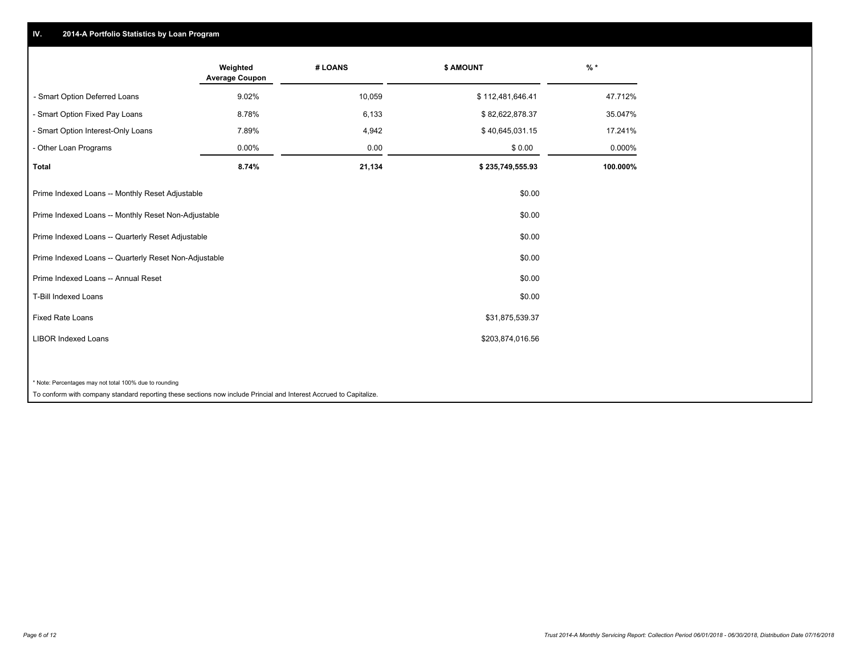## **IV. 2014-A Portfolio Statistics by Loan Program**

|                                                                                                                    | Weighted<br><b>Average Coupon</b> | # LOANS | \$ AMOUNT        | $%$ *    |
|--------------------------------------------------------------------------------------------------------------------|-----------------------------------|---------|------------------|----------|
| - Smart Option Deferred Loans                                                                                      | 9.02%                             | 10,059  | \$112,481,646.41 | 47.712%  |
| - Smart Option Fixed Pay Loans                                                                                     | 8.78%                             | 6,133   | \$82,622,878.37  | 35.047%  |
| - Smart Option Interest-Only Loans                                                                                 | 7.89%                             | 4,942   | \$40,645,031.15  | 17.241%  |
| - Other Loan Programs                                                                                              | 0.00%                             | 0.00    | \$0.00           | 0.000%   |
| <b>Total</b>                                                                                                       | 8.74%                             | 21,134  | \$235,749,555.93 | 100.000% |
| Prime Indexed Loans -- Monthly Reset Adjustable                                                                    |                                   |         | \$0.00           |          |
| Prime Indexed Loans -- Monthly Reset Non-Adjustable                                                                |                                   |         | \$0.00           |          |
| Prime Indexed Loans -- Quarterly Reset Adjustable                                                                  |                                   |         | \$0.00           |          |
| Prime Indexed Loans -- Quarterly Reset Non-Adjustable                                                              |                                   |         | \$0.00           |          |
| Prime Indexed Loans -- Annual Reset                                                                                |                                   |         | \$0.00           |          |
| <b>T-Bill Indexed Loans</b>                                                                                        |                                   |         | \$0.00           |          |
| <b>Fixed Rate Loans</b>                                                                                            |                                   |         | \$31,875,539.37  |          |
| <b>LIBOR Indexed Loans</b>                                                                                         |                                   |         | \$203,874,016.56 |          |
|                                                                                                                    |                                   |         |                  |          |
| * Note: Percentages may not total 100% due to rounding                                                             |                                   |         |                  |          |
| To conform with company standard reporting these sections now include Princial and Interest Accrued to Capitalize. |                                   |         |                  |          |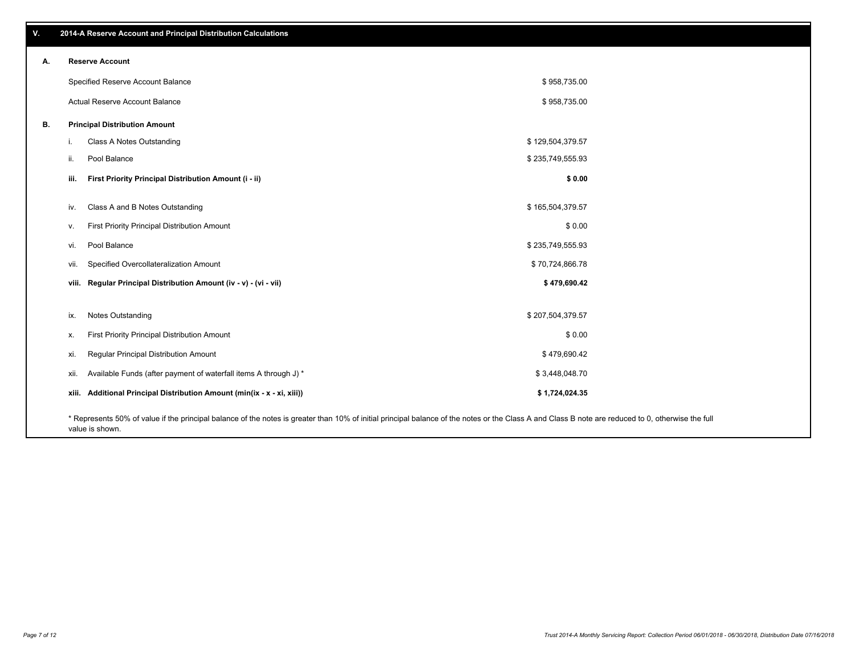**viii. Regular Principal Distribution Amount (iv - v) - (vi - vii) \$ 479,690.42** vii. Specified Overcollateralization Amount \$ 70,724,866.78 vi. Pool Balance \$ 235,749,555.93 v. First Priority Principal Distribution Amount **Amount 3 0.00** Solution 3 and 3 and 3 and 3 and 3 and 3 and 3 and 3 and 3 and 3 and 3 and 3 and 3 and 3 and 3 and 3 and 3 and 3 and 3 and 3 and 3 and 3 and 3 and 3 and 3 and iv. Class A and B Notes Outstanding and the state of the state of the state of the state of the state of the state of the state of the state of the state of the state of the state of the state of the state of the state of **iii. First Priority Principal Distribution Amount (i - ii) \$ 0.00** \$ 958,735.00 \$ 958,735.00 Specified Reserve Account Balance Actual Reserve Account Balance **A. Reserve Account B. Principal Distribution Amount** i. Class A Notes Outstanding **by the Class A Notes Outstanding**  $$ 129,504,379.57$ ii. Pool Balance  $$ 235,749,555.93$ ix. Notes Outstanding  $$207,504,379.57$ x. First Priority Principal Distribution Amount 6 0.00 xi. Regular Principal Distribution Amount \$ 479,690.42 xii. Available Funds (after payment of waterfall items A through J) \* **xiii. Additional Principal Distribution Amount (min(ix - x - xi, xiii)) \$ 1,724,024.35** \$ 3,448,048.70

\* Represents 50% of value if the principal balance of the notes is greater than 10% of initial principal balance of the notes or the Class A and Class B note are reduced to 0, otherwise the full value is shown.

**V. 2014-A Reserve Account and Principal Distribution Calculations**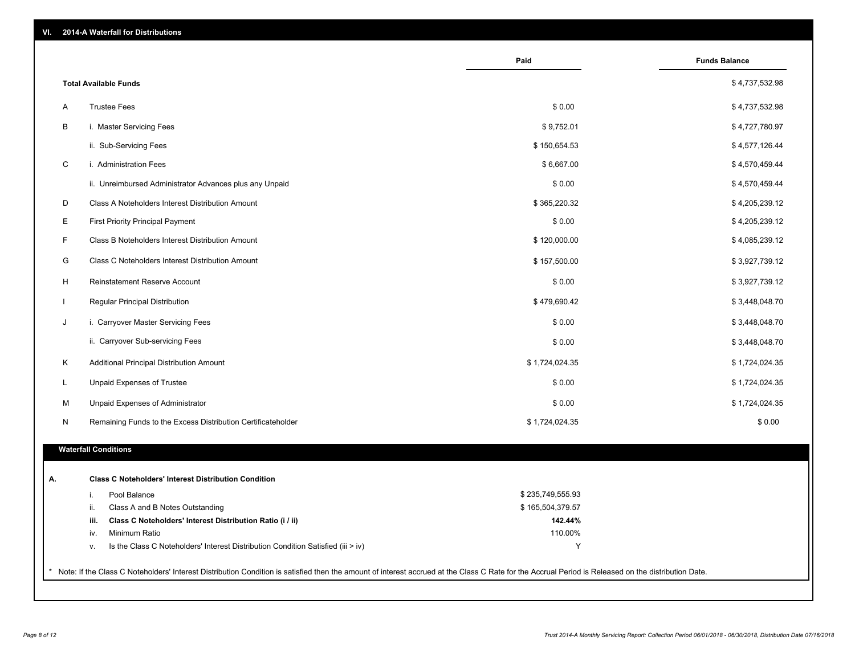| VI. |  |  | 2014-A Waterfall for Distributions |
|-----|--|--|------------------------------------|
|-----|--|--|------------------------------------|

|                                                                                        | Paid             | <b>Funds Balance</b> |
|----------------------------------------------------------------------------------------|------------------|----------------------|
| <b>Total Available Funds</b>                                                           |                  | \$4,737,532.98       |
| <b>Trustee Fees</b>                                                                    | \$0.00           | \$4,737,532.98       |
| i. Master Servicing Fees                                                               | \$9,752.01       | \$4,727,780.97       |
| ii. Sub-Servicing Fees                                                                 | \$150,654.53     | \$4,577,126.44       |
| i. Administration Fees                                                                 | \$6,667.00       | \$4,570,459.44       |
| ii. Unreimbursed Administrator Advances plus any Unpaid                                | \$0.00           | \$4,570,459.44       |
| Class A Noteholders Interest Distribution Amount                                       | \$365,220.32     | \$4,205,239.12       |
| <b>First Priority Principal Payment</b>                                                | \$0.00           | \$4,205,239.12       |
| Class B Noteholders Interest Distribution Amount                                       | \$120,000.00     | \$4,085,239.12       |
| Class C Noteholders Interest Distribution Amount                                       | \$157,500.00     | \$3,927,739.12       |
| Reinstatement Reserve Account                                                          | \$0.00           | \$3,927,739.12       |
| Regular Principal Distribution                                                         | \$479,690.42     | \$3,448,048.70       |
| i. Carryover Master Servicing Fees                                                     | \$0.00           | \$3,448,048.70       |
| ii. Carryover Sub-servicing Fees                                                       | \$0.00           | \$3,448,048.70       |
| Additional Principal Distribution Amount                                               | \$1,724,024.35   | \$1,724,024.35       |
| Unpaid Expenses of Trustee                                                             | \$0.00           | \$1,724,024.35       |
| Unpaid Expenses of Administrator                                                       | \$0.00           | \$1,724,024.35       |
| Remaining Funds to the Excess Distribution Certificateholder                           | \$1,724,024.35   | \$0.00               |
| <b>Waterfall Conditions</b>                                                            |                  |                      |
|                                                                                        |                  |                      |
| <b>Class C Noteholders' Interest Distribution Condition</b>                            |                  |                      |
| Pool Balance<br>i.                                                                     | \$235,749,555.93 |                      |
| Class A and B Notes Outstanding<br>ii.                                                 | \$165,504,379.57 |                      |
| iii.<br>Class C Noteholders' Interest Distribution Ratio (i / ii)                      | 142.44%          |                      |
| Minimum Ratio<br>iv.                                                                   | 110.00%          |                      |
| Is the Class C Noteholders' Interest Distribution Condition Satisfied (iii > iv)<br>v. | Y                |                      |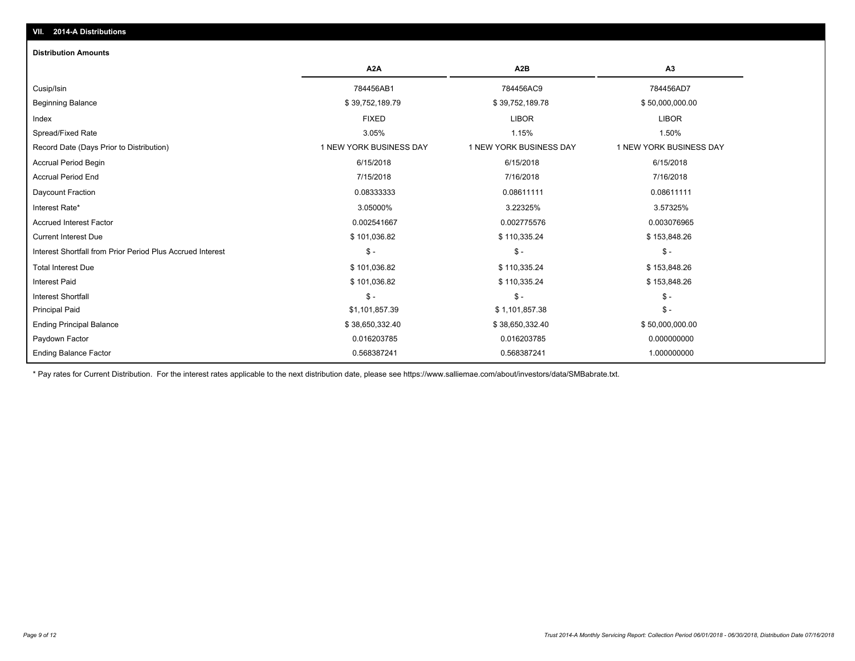# Total Interest Due \$ 101,036.82 \$ 101,036.82 \$ 101,036.82 \$ 110,335.24 \$ 110,335.24 \$ 153,848.26 Interest Shortfall from Prior Period Plus Accrued Interest \$ - \$ - \$ - Current Interest Due \$ 101,036.82 \$ 110,335.24 \$ 153,848.26 Accrued Interest Factor 0.002541667 0.002775576 0.003076965 Interest Rate\* 3.05000% 3.22325% 3.57325% Daycount Fraction 0.08333333 0.08611111 0.08611111 Accrual Period End 7/15/2018 7/16/2018 7/16/2018 Accrual Period Begin 6/15/2018 6/15/2018 6/15/2018 Record Date (Days Prior to Distribution) 1 NEW YORK BUSINESS DAY 1 NEW YORK BUSINESS DAY 1 NEW YORK BUSINESS DAY Spread/Fixed Rate 3.05% 1.15% 1.50% Index FIXED LIBOR LIBOR Beginning Balance \$ 39,752,189.79 \$ 39,752,189.79 \$ 39,752,189.79 \$ 39,752,189.78 \$ 50,000,000.00 Cusip/Isin 784456AB1 784456AC9 784456AD7 **A2A A2B A3 Distribution Amounts VII. 2014-A Distributions**

Paydown Factor 0.016203785 0.016203785 0.000000000 Ending Principal Balance \$ 38,650,332.40 \$ 38,650,332.40 \$ 38,650,332.40 \$ \$50,000,000.00 Principal Paid \$1,101,857.39 \$ 1,101,857.38 \$ - Interest Shortfall \$ - \$ - \$ - Interest Paid \$ 101,036.82 \$ 110,335.24 \$ 153,848.26

\* Pay rates for Current Distribution. For the interest rates applicable to the next distribution date, please see https://www.salliemae.com/about/investors/data/SMBabrate.txt.

0.568387241 0.568387241 1.000000000

Ending Balance Factor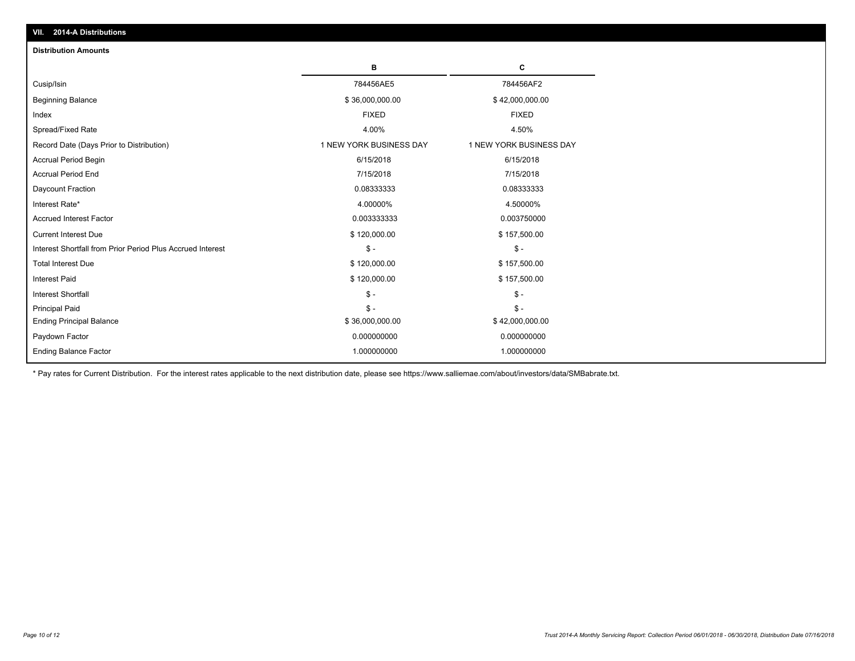| <b>Distribution Amounts</b>                                |                         |                         |
|------------------------------------------------------------|-------------------------|-------------------------|
|                                                            | в                       | C                       |
| Cusip/Isin                                                 | 784456AE5               | 784456AF2               |
| <b>Beginning Balance</b>                                   | \$36,000,000.00         | \$42,000,000.00         |
| Index                                                      | <b>FIXED</b>            | <b>FIXED</b>            |
| Spread/Fixed Rate                                          | 4.00%                   | 4.50%                   |
| Record Date (Days Prior to Distribution)                   | 1 NEW YORK BUSINESS DAY | 1 NEW YORK BUSINESS DAY |
| <b>Accrual Period Begin</b>                                | 6/15/2018               | 6/15/2018               |
| <b>Accrual Period End</b>                                  | 7/15/2018               | 7/15/2018               |
| Daycount Fraction                                          | 0.08333333              | 0.08333333              |
| Interest Rate*                                             | 4.00000%                | 4.50000%                |
| <b>Accrued Interest Factor</b>                             | 0.003333333             | 0.003750000             |
| <b>Current Interest Due</b>                                | \$120,000.00            | \$157,500.00            |
| Interest Shortfall from Prior Period Plus Accrued Interest | $\mathsf{\$}$ -         | $\mathbb{S}$ -          |
| <b>Total Interest Due</b>                                  | \$120,000.00            | \$157,500.00            |
| <b>Interest Paid</b>                                       | \$120,000.00            | \$157,500.00            |
| <b>Interest Shortfall</b>                                  | $\mathcal{S}$ -         | $\mathbb{S}$ -          |
| <b>Principal Paid</b>                                      | $S -$                   | $S -$                   |
| <b>Ending Principal Balance</b>                            | \$36,000,000.00         | \$42,000,000.00         |
| Paydown Factor                                             | 0.000000000             | 0.000000000             |
| <b>Ending Balance Factor</b>                               | 1.000000000             | 1.000000000             |

\* Pay rates for Current Distribution. For the interest rates applicable to the next distribution date, please see https://www.salliemae.com/about/investors/data/SMBabrate.txt.

**VII. 2014-A Distributions**